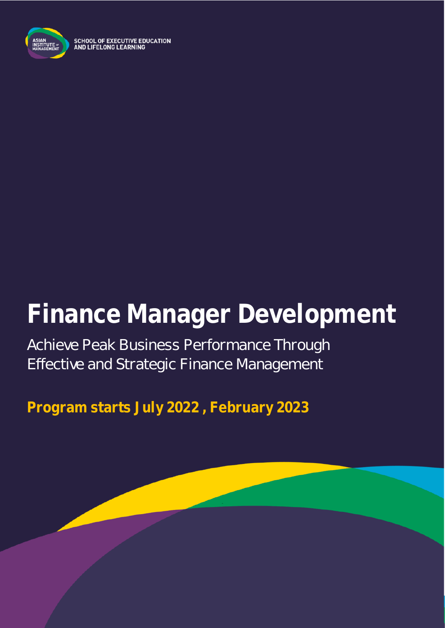

SCHOOL OF EXECUTIVE EDUCATION<br>AND LIFELONG LEARNING

# **Finance Manager Development**

Achieve Peak Business Performance Through Effective and Strategic Finance Management

**Program starts July 2022 , February 2023**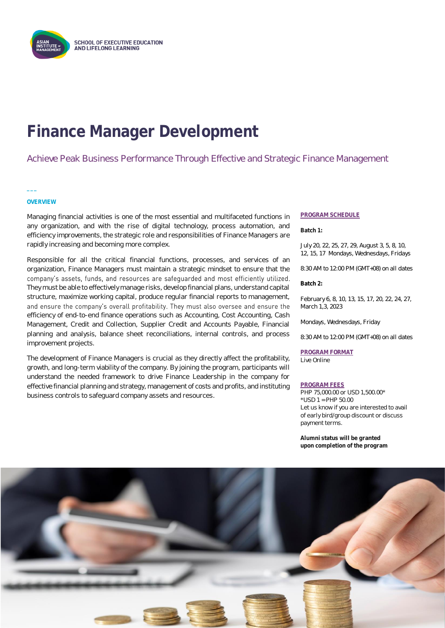

## **Finance Manager Development**

#### Achieve Peak Business Performance Through Effective and Strategic Finance Management

#### **OVERVIEW**

**\_\_\_**

Managing financial activities is one of the most essential and multifaceted functions in any organization, and with the rise of digital technology, process automation, and efficiency improvements, the strategic role and responsibilities of Finance Managers are rapidly increasing and becoming more complex.

Responsible for all the critical financial functions, processes, and services of an organization, Finance Managers must maintain a strategic mindset to ensure that the company's assets, funds, and resources are safequarded and most efficiently utilized. They must be able to effectively manage risks, develop financial plans, understand capital structure, maximize working capital, produce regular financial reports to management, and ensure the company's overall profitability. They must also oversee and ensure the efficiency of end-to-end finance operations such as Accounting, Cost Accounting, Cash Management, Credit and Collection, Supplier Credit and Accounts Payable, Financial planning and analysis, balance sheet reconciliations, internal controls, and process improvement projects.

The development of Finance Managers is crucial as they directly affect the profitability, growth, and long-term viability of the company. By joining the program, participants will understand the needed framework to drive Finance Leadership in the company for effective financial planning and strategy, management of costs and profits, and instituting business controls to safeguard company assets and resources.

#### **PROGRAM SCHEDULE**

**Batch 1:**

July 20, 22, 25, 27, 29, August 3, 5, 8, 10, 12, 15, 17 Mondays, Wednesdays, Fridays

8:30 AM to 12:00 PM (GMT+08) on all dates

**Batch 2:** 

February 6, 8, 10, 13, 15, 17, 20, 22, 24, 27, March 1,3, 2023

Mondays, Wednesdays, Friday

8:30 AM to 12:00 PM (GMT+08) on all dates

**PROGRAM FORMAT** Live Online

#### **PROGRAM FEES**

PHP 75,000.00 or USD 1,500.00\* \*USD 1 = PHP 50.00 Let us know if you are interested to avail of early bird/group discount or discuss payment terms.

**Alumni status will be granted upon completion of the program**

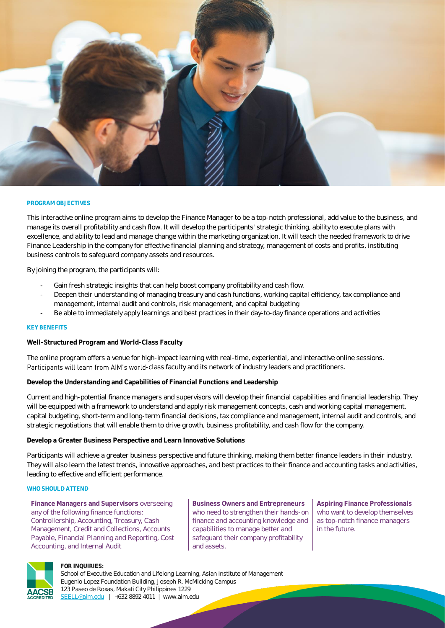

#### **PROGRAM OBJECTIVES**

This interactive online program aims to develop the Finance Manager to be a top-notch professional, add value to the business, and manage its overall profitability and cash flow. It will develop the participants' strategic thinking, ability to execute plans with excellence, and ability to lead and manage change within the marketing organization. It will teach the needed framework to drive Finance Leadership in the company for effective financial planning and strategy, management of costs and profits, instituting business controls to safeguard company assets and resources.

By joining the program, the participants will:

- Gain fresh strategic insights that can help boost company profitability and cash flow.
- Deepen their understanding of managing treasury and cash functions, working capital efficiency, tax compliance and management, internal audit and controls, risk management, and capital budgeting
- Be able to immediately apply learnings and best practices in their day-to-day finance operations and activities

#### **KEY BENEFITS**

**Well-Structured Program and World-Class Faculty**

The online program offers a venue for high-impact learning with real-time, experiential, and interactive online sessions. Participants will learn from AIM's world-class faculty and its network of industry leaders and practitioners.

**Develop the Understanding and Capabilities of Financial Functions and Leadership**

Current and high-potential finance managers and supervisors will develop their financial capabilities and financial leadership. They will be equipped with a framework to understand and apply risk management concepts, cash and working capital management, capital budgeting, short-term and long-term financial decisions, tax compliance and management, internal audit and controls, and strategic negotiations that will enable them to drive growth, business profitability, and cash flow for the company.

**Develop a Greater Business Perspective and Learn Innovative Solutions**

Participants will achieve a greater business perspective and future thinking, making them better finance leaders in their industry. They will also learn the latest trends, innovative approaches, and best practices to their finance and accounting tasks and activities, leading to effective and efficient performance.

#### **WHO SHOULD ATTEND**

**Finance Managers and Supervisors** overseeing any of the following finance functions: Controllership, Accounting, Treasury, Cash Management, Credit and Collections, Accounts Payable, Financial Planning and Reporting, Cost Accounting, and Internal Audit

**Business Owners and Entrepreneurs**  who need to strengthen their hands-on finance and accounting knowledge and capabilities to manage better and safeguard their company profitability and assets.

**Aspiring Finance Professionals** who want to develop themselves as top-notch finance managers in the future.



#### **FOR INQUIRIES:**

School of Executive Education and Lifelong Learning, Asian Institute of Management Eugenio Lopez Foundation Building, Joseph R. McMicking Campus 123 Paseo de Roxas, Makati City Philippines 1229 [SEELL@aim.edu](mailto:SEELL@aim.edu) | +632 8892 4011 | www.aim.edu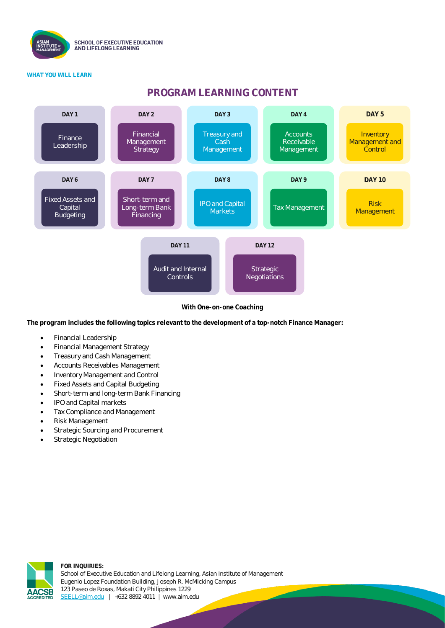

#### **WHAT YOU WILL LEARN**

### **PROGRAM LEARNING CONTENT**



**With One-on-one Coaching**

**The program includes the following topics relevant to the development of a top-notch Finance Manager:**

- Financial Leadership
- Financial Management Strategy
- Treasury and Cash Management
- Accounts Receivables Management
- Inventory Management and Control
- Fixed Assets and Capital Budgeting
- Short-term and long-term Bank Financing
- IPO and Capital markets
- Tax Compliance and Management
- Risk Management
- Strategic Sourcing and Procurement
- Strategic Negotiation



**FOR INQUIRIES:** School of Executive Education and Lifelong Learning, Asian Institute of Management Eugenio Lopez Foundation Building, Joseph R. McMicking Campus 123 Paseo de Roxas, Makati City Philippines 1229 [SEELL@aim.edu](mailto:SEELL@aim.edu) | +632 8892 4011 | www.aim.edu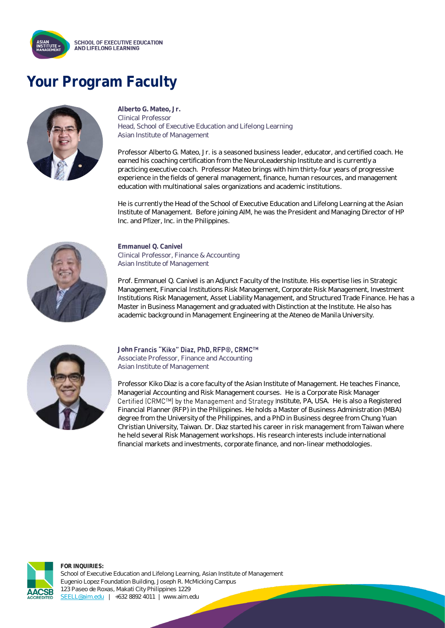

### **Your Program Faculty**



**Alberto G. Mateo, Jr.** Clinical Professor Head, School of Executive Education and Lifelong Learning Asian Institute of Management

Professor Alberto G. Mateo, Jr. is a seasoned business leader, educator, and certified coach. He earned his coaching certification from the NeuroLeadership Institute and is currently a practicing executive coach. Professor Mateo brings with him thirty-four years of progressive experience in the fields of general management, finance, human resources, and management education with multinational sales organizations and academic institutions.

He is currently the Head of the School of Executive Education and Lifelong Learning at the Asian Institute of Management. Before joining AIM, he was the President and Managing Director of HP Inc. and Pfizer, Inc. in the Philippines.



**Emmanuel Q. Canivel** Clinical Professor, Finance & Accounting Asian Institute of Management

Prof. Emmanuel Q. Canivel is an Adjunct Faculty of the Institute. His expertise lies in Strategic Management, Financial Institutions Risk Management, Corporate Risk Management, Investment Institutions Risk Management, Asset Liability Management, and Structured Trade Finance. He has a Master in Business Management and graduated with Distinction at the Institute. He also has academic background in Management Engineering at the Ateneo de Manila University.



#### **John Francis "Kiko" Diaz. PhD. RFP®. CRMCTM**

Associate Professor, Finance and Accounting Asian Institute of Management

Professor Kiko Diaz is a core faculty of the Asian Institute of Management. He teaches Finance, Managerial Accounting and Risk Management courses. He is a Corporate Risk Manager Certified (CRMC™) by the Management and Strategy Institute, PA, USA. He is also a Registered Financial Planner (RFP) in the Philippines. He holds a Master of Business Administration (MBA) degree from the University of the Philippines, and a PhD in Business degree from Chung Yuan Christian University, Taiwan. Dr. Diaz started his career in risk management from Taiwan where he held several Risk Management workshops. His research interests include international financial markets and investments, corporate finance, and non-linear methodologies.



**FOR INQUIRIES:** School of Executive Education and Lifelong Learning, Asian Institute of Management Eugenio Lopez Foundation Building, Joseph R. McMicking Campus 123 Paseo de Roxas, Makati City Philippines 1229 [SEELL@aim.edu](mailto:SEELL@aim.edu) | +632 8892 4011 | www.aim.edu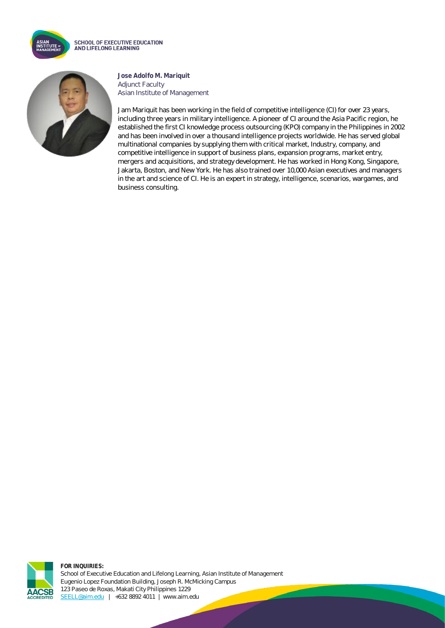

**SCHOOL OF EXECUTIVE EDUCATION** AND LIFELONG LEARNING



**Jose Adolfo M. Mariquit** Adjunct Faculty Asian Institute of Management

Jam Mariquit has been working in the field of competitive intelligence (CI) for over 23 years, including three years in military intelligence. A pioneer of CI around the Asia Pacific region, he established the first CI knowledge process outsourcing (KPO) company in the Philippines in 2002 and has been involved in over a thousand intelligence projects worldwide. He has served global multinational companies by supplying them with critical market, Industry, company, and competitive intelligence in support of business plans, expansion programs, market entry, mergers and acquisitions, and strategy development. He has worked in Hong Kong, Singapore, Jakarta, Boston, and New York. He has also trained over 10,000 Asian executives and managers in the art and science of CI. He is an expert in strategy, intelligence, scenarios, wargames, and business consulting.



**FOR INQUIRIES:** School of Executive Education and Lifelong Learning, Asian Institute of Management Eugenio Lopez Foundation Building, Joseph R. McMicking Campus 123 Paseo de Roxas, Makati City Philippines 1229 [SEELL@aim.edu](mailto:SEELL@aim.edu) | +632 8892 4011 | www.aim.edu